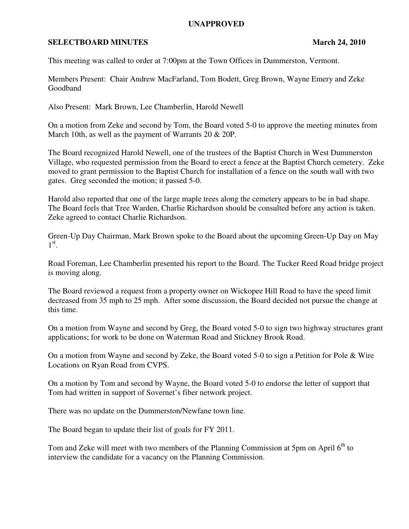## **UNAPPROVED**

## **SELECTBOARD MINUTES** March 24, 2010

This meeting was called to order at 7:00pm at the Town Offices in Dummerston, Vermont.

Members Present: Chair Andrew MacFarland, Tom Bodett, Greg Brown, Wayne Emery and Zeke Goodband

Also Present: Mark Brown, Lee Chamberlin, Harold Newell

On a motion from Zeke and second by Tom, the Board voted 5-0 to approve the meeting minutes from March 10th, as well as the payment of Warrants 20 & 20P.

The Board recognized Harold Newell, one of the trustees of the Baptist Church in West Dummerston Village, who requested permission from the Board to erect a fence at the Baptist Church cemetery. Zeke moved to grant permission to the Baptist Church for installation of a fence on the south wall with two gates. Greg seconded the motion; it passed 5-0.

Harold also reported that one of the large maple trees along the cemetery appears to be in bad shape. The Board feels that Tree Warden, Charlie Richardson should be consulted before any action is taken. Zeke agreed to contact Charlie Richardson.

Green-Up Day Chairman, Mark Brown spoke to the Board about the upcoming Green-Up Day on May  $1^\text{st}$ .

Road Foreman, Lee Chamberlin presented his report to the Board. The Tucker Reed Road bridge project is moving along.

The Board reviewed a request from a property owner on Wickopee Hill Road to have the speed limit decreased from 35 mph to 25 mph. After some discussion, the Board decided not pursue the change at this time.

On a motion from Wayne and second by Greg, the Board voted 5-0 to sign two highway structures grant applications; for work to be done on Waterman Road and Stickney Brook Road.

On a motion from Wayne and second by Zeke, the Board voted 5-0 to sign a Petition for Pole & Wire Locations on Ryan Road from CVPS.

On a motion by Tom and second by Wayne, the Board voted 5-0 to endorse the letter of support that Tom had written in support of Sovernet's fiber network project.

There was no update on the Dummerston/Newfane town line.

The Board began to update their list of goals for FY 2011.

Tom and Zeke will meet with two members of the Planning Commission at 5pm on April 6<sup>th</sup> to interview the candidate for a vacancy on the Planning Commission.